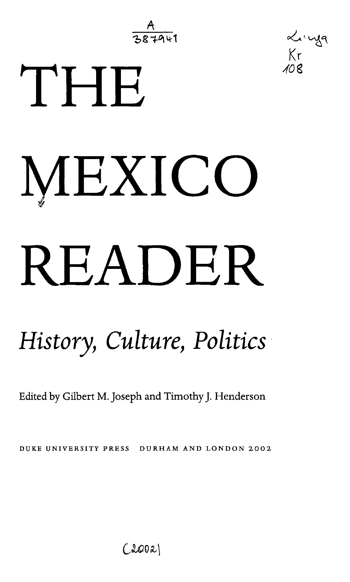$\frac{A}{2.87811}$ 

*40%*

Linga  $Kr$ 

# THE MEXICO READER

## *History, Culture, Politics*

Edited by Gilbert M. Joseph and Timothy J. Henderson

DUKE UNIVERSITY PRESS DURHAM AND LONDON 2002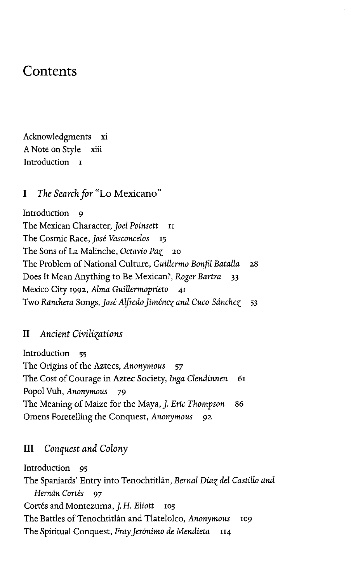### Contents

Acknowledgments xi A Note on Style xiii Introduction I

#### I *The Search for* "Lo Mexicano"

Introduction 9 The Mexican Character, *Joel Poinsett* 11 The Cosmic Race, *Jose Vasconcelos* 15 The Sons of La Malinche, *Octavio Paz* 20 The Problem of National Culture, *Guillermo Bonfil Batalla* 28 Does It Mean Anything to Be Mexican?, *Roger Bartra* 33 Mexico City 1992, *Alma Guillermoprieto* 41 Two *Ranchera* Songs, *Jose Alfredo Jimene^ and Cuco Sdnche^* 53

#### II *Ancient Civilisations*

Introduction 55 The Origins of the Aztecs, *Anonymous* 57 The Cost of Courage in Aztec Society, *Inga Clendinnen 61* Popol Vuh, *Anonymous* 79 The Meaning of Maize for the Maya, J. *Eric Thompson* 86 Omens Foretelling the Conquest, *Anonymous* 92

#### III *Conquest and Colony*

Introduction 95 The Spaniards' Entry into Tenochtitlan, *Bernal Dia^ del Castillo and Hernán Cortés* 97 Cortés and Montezuma, *J. H. Eliott* 105 The Battles of Tenochtitlan and Tlatelolco, *Anonymous* 109 The Spiritual Conquest, Fray Jerónimo de Mendieta 114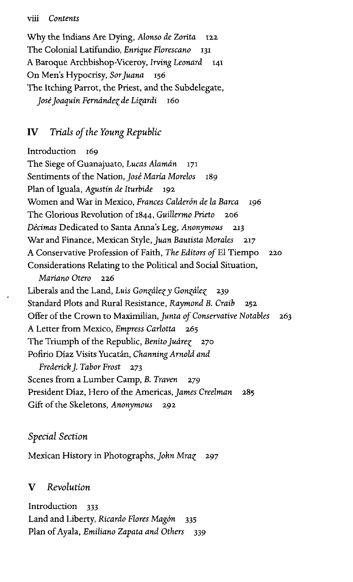#### viii *Contents*

Why the Indians Are Dying, *Alonso de Zorita* 122 The Colonial Latifundio, *Enrique Florescano* 131 A Baroque Archbishop-Viceroy, *Irving Leonard* 141 On Men's Hypocrisy, *Sorjuana* 156 The Itching Parrot, the Priest, and the Subdelegate, *Josejoaquin Ferndnde^ de Li^ardi* 160

#### IV *Trials of the Young Republic*

Introduction 169 The Siege of Guanajuato, *Lucas Alamdn* 171 Sentiments of the Nation, *Jose Maria Morelos* 189 Plan of Iguala, *Agustin de Iturbide* 192 Women and War in Mexico, *Frances Calderon de la Barca* 196 The Glorious Revolution of 1844, *Guillermo Prieto* 206 *Decimas* Dedicated to Santa Anna's Leg, *Anonymous* 213 War and Finance, Mexican Style, *Juan Bautista Morales* 217 A Conservative Profession of Faith, *The Editors of* El Tiempo 220 Considerations Relating to the Political and Social Situation, *Mariano Otero* 226 Liberals and the Land, *Luis Gon^dle^y Gonzalez* 239 Standard Plots and Rural Resistance, *Raymond B. Craib* 252 Offer of the Crown to Maximilian, *Junta of Conservative Notables* 263 A Letter from Mexico, *Empress Carlotta* 265 The Triumph of the Republic, Benito Juárez 270 Pofirio Diaz Visits Yucatan, *Channing Arnold and Frederick J. Tabor Frost* 273 Scenes from a Lumber Camp, *B. Traven* 279 President Diaz, Hero of the Americas, *James Creelman* 285 Gift of the Skeletons, *Anonymous* 292

#### *Special Section*

Mexican History in Photographs, *John Mra%* 297

#### V *Revolution*

Introduction 333 Land and Liberty, *Ricardo Flores Magon* 335 Plan of Ayala, *Emiliano Zapata and Others* 339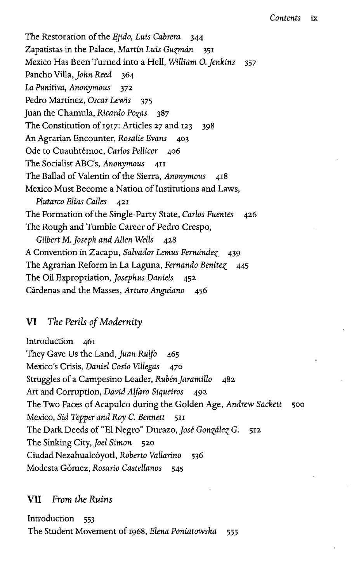The Restoration of the *Ejido, Luis Cabrera* 344 Zapatistas in the Palace, *Martin Luis Guzman* 351 Mexico Has Been Turned into a Hell, *William O.Jenkins* 357 Pancho Villa, *John Reed* 364 *La Punitiva, Anonymous* 372 Pedro Martínez, Oscar Lewis 375 Juan the Chamula, *Ricardo Po^as* 387 The Constitution of 1917: Articles 27 and 123 398 An Agrarian Encounter, Rosalie Evans 403 Ode to Cuauhtémoc, Carlos Pellicer 406 The Socialist ABC's, Anonymous 411 The Ballad of Valentin of the Sierra, Anonymous Mexico Must Become a Nation of Institutions and Laws, *Plutarco Elias Calles* 421 The Formation of the Single-Party State, *Carlos Fuentes* 426 The Rough and Tumble Career of Pedro Crespo, Gilbert M. Joseph and Allen Wells 428 A Convention in Zacapu, *Salvador Lemus Fernandez* 439 The Agrarian Reform in La Laguna, *Fernando Benite^* 445 The Oil Expropriation, *Josephus Daniels* 452 Cardenas and the Masses, *Arturo Anguiano* 456

#### VI *The Perils of Modernity*

Introduction 461 They Gave Us the Land, *Juan Rulfo* 465 Mexico's Crisis, *Daniel Cosio Villegas* 470 Struggles of a Campesino Leader, *Ruben Jaramillo* 482 Art and Corruption, *David Alfaro Siqueiros* 492 The Two Faces of Acapulco during the Golden Age, Andrew Sackett 500 Mexico, Sid Tepper and Roy C. Bennett 511 The Dark Deeds of "El Negro" Durazo, *Jose Gon^dle^ G.* 512 The Sinking City, *Joel Simon* 520 Ciudad Nezahualcoyotl, *Roberto Vallarino* 536 Modesta Gomez, *Rosario Castellanos* 545

#### VII *From the Ruins*

Introduction 553 The Student Movement of 1968, *Elena Poniatowska* 555